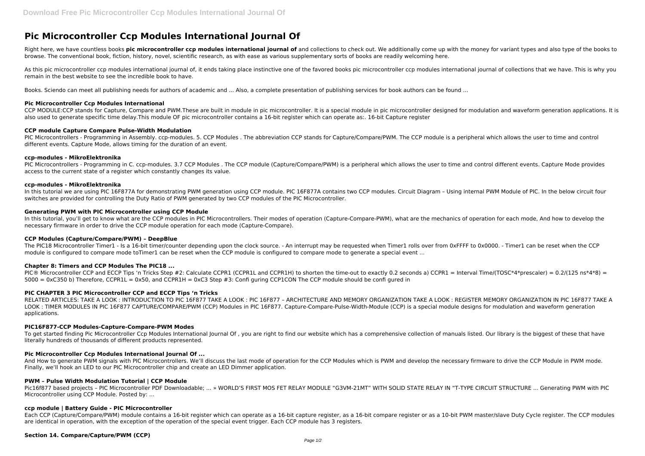# **Pic Microcontroller Ccp Modules International Journal Of**

Right here, we have countless books **pic microcontroller ccp modules international journal of** and collections to check out. We additionally come up with the money for variant types and also type of the books to browse. The conventional book, fiction, history, novel, scientific research, as with ease as various supplementary sorts of books are readily welcoming here.

As this pic microcontroller ccp modules international journal of, it ends taking place instinctive one of the favored books pic microcontroller ccp modules international journal of collections that we have. This is why you remain in the best website to see the incredible book to have.

CCP MODULE:CCP stands for Capture, Compare and PWM.These are built in module in pic microcontroller. It is a special module in pic microcontroller designed for modulation and waveform generation applications. It is also used to generate specific time delay.This module OF pic microcontroller contains a 16-bit register which can operate as:. 16-bit Capture register

PIC Microcontrollers - Programming in Assembly. ccp-modules. 5. CCP Modules . The abbreviation CCP stands for Capture/Compare/PWM. The CCP module is a peripheral which allows the user to time and control different events. Capture Mode, allows timing for the duration of an event.

Books. Sciendo can meet all publishing needs for authors of academic and ... Also, a complete presentation of publishing services for book authors can be found ...

## **Pic Microcontroller Ccp Modules International**

PIC Microcontrollers - Programming in C. ccp-modules. 3.7 CCP Modules . The CCP module (Capture/Compare/PWM) is a peripheral which allows the user to time and control different events. Capture Mode provides access to the current state of a register which constantly changes its value.

In this tutorial, you'll get to know what are the CCP modules in PIC Microcontrollers. Their modes of operation (Capture-Compare-PWM), what are the mechanics of operation for each mode. And how to develop the necessary firmware in order to drive the CCP module operation for each mode (Capture-Compare).

#### **CCP module Capture Compare Pulse-Width Modulation**

#### **ccp-modules - MikroElektronika**

#### **ccp-modules - MikroElektronika**

To get started finding Pic Microcontroller Ccp Modules International Journal Of, you are right to find our website which has a comprehensive collection of manuals listed. Our library is the biggest of these that have literally hundreds of thousands of different products represented.

In this tutorial we are using PIC 16F877A for demonstrating PWM generation using CCP module. PIC 16F877A contains two CCP modules. Circuit Diagram – Using internal PWM Module of PIC. In the below circuit four switches are provided for controlling the Duty Ratio of PWM generated by two CCP modules of the PIC Microcontroller.

#### **Generating PWM with PIC Microcontroller using CCP Module**

#### **CCP Modules (Capture/Compare/PWM) – DeepBlue**

The PIC18 Microcontroller Timer1 - Is a 16-bit timer/counter depending upon the clock source. - An interrupt may be requested when Timer1 rolls over from 0xFFFF to 0x0000. - Timer1 can be reset when the CCP module is configured to compare mode toTimer1 can be reset when the CCP module is configured to compare mode to generate a special event ...

#### **Chapter 8: Timers and CCP Modules The PIC18 ...**

PIC® Microcontroller CCP and ECCP Tips 'n Tricks Step #2: Calculate CCPR1 (CCPR1L and CCPR1H) to shorten the time-out to exactly 0.2 seconds a) CCPR1 = Interval Time/(TOSC\*4\*prescaler) = 0.2/(125 ns\*4\*8) =  $5000 = 0xC350$  b) Therefore, CCPR1L = 0x50, and CCPR1H = 0xC3 Step #3: Confi guring CCP1CON The CCP module should be confi gured in

#### **PIC CHAPTER 3 PIC Microcontroller CCP and ECCP Tips 'n Tricks**

RELATED ARTICLES: TAKE A LOOK : INTRODUCTION TO PIC 16F877 TAKE A LOOK : PIC 16F877 – ARCHITECTURE AND MEMORY ORGANIZATION TAKE A LOOK : REGISTER MEMORY ORGANIZATION IN PIC 16F877 TAKE A LOOK : TIMER MODULES IN PIC 16F877 CAPTURE/COMPARE/PWM (CCP) Modules in PIC 16F877. Capture-Compare-Pulse-Width-Module (CCP) is a special module designs for modulation and waveform generation applications.

#### **PIC16F877-CCP Modules-Capture-Compare-PWM Modes**

#### **Pic Microcontroller Ccp Modules International Journal Of ...**

And How to generate PWM signals with PIC Microcontrollers. We'll discuss the last mode of operation for the CCP Modules which is PWM and develop the necessary firmware to drive the CCP Module in PWM mode. Finally, we'll hook an LED to our PIC Microcontroller chip and create an LED Dimmer application.

#### **PWM – Pulse Width Modulation Tutorial | CCP Module**

Pic16f877 based projects – PIC Microcontroller PDF Downloadable; ... » WORLD'S FIRST MOS FET RELAY MODULE "G3VM-21MT" WITH SOLID STATE RELAY IN "T-TYPE CIRCUIT STRUCTURE ... Generating PWM with PIC Microcontroller using CCP Module. Posted by: ...

#### **ccp module | Battery Guide - PIC Microcontroller**

Each CCP (Capture/Compare/PWM) module contains a 16-bit register which can operate as a 16-bit capture register, as a 16-bit compare register or as a 10-bit PWM master/slave Duty Cycle register. The CCP modules are identical in operation, with the exception of the operation of the special event trigger. Each CCP module has 3 registers.

### **Section 14. Compare/Capture/PWM (CCP)**